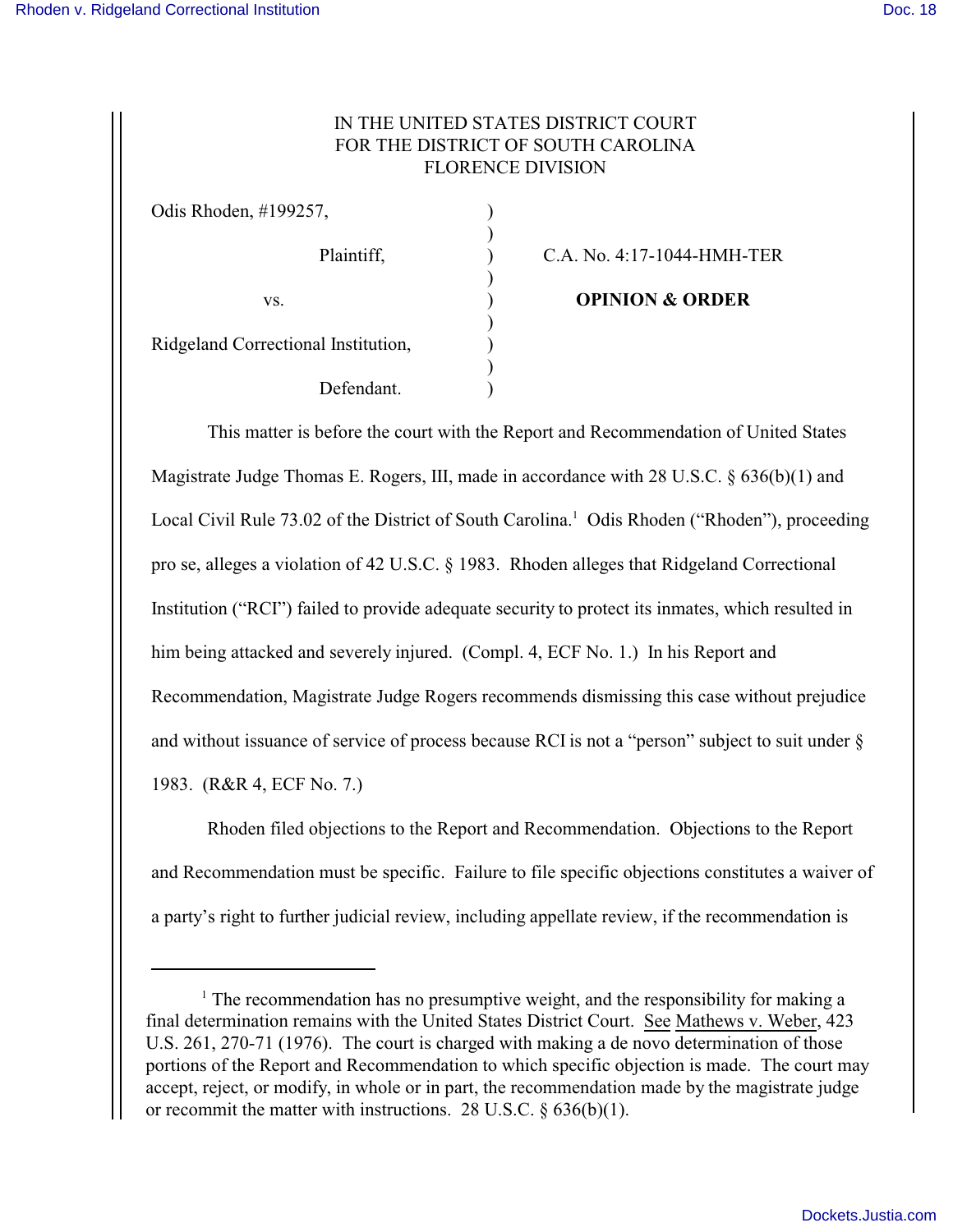## IN THE UNITED STATES DISTRICT COURT FOR THE DISTRICT OF SOUTH CAROLINA FLORENCE DIVISION

| Odis Rhoden, #199257,               |  |
|-------------------------------------|--|
| Plaintiff,                          |  |
| VS.                                 |  |
| Ridgeland Correctional Institution, |  |
| Defendant.                          |  |

C.A. No. 4:17-1044-HMH-TER

**OPINION & ORDER** 

This matter is before the court with the Report and Recommendation of United States Magistrate Judge Thomas E. Rogers, III, made in accordance with 28 U.S.C. § 636(b)(1) and Local Civil Rule 73.02 of the District of South Carolina.<sup>1</sup> Odis Rhoden ("Rhoden"), proceeding pro se, alleges a violation of 42 U.S.C. § 1983. Rhoden alleges that Ridgeland Correctional Institution ("RCI") failed to provide adequate security to protect its inmates, which resulted in him being attacked and severely injured. (Compl. 4, ECF No. 1.) In his Report and Recommendation, Magistrate Judge Rogers recommends dismissing this case without prejudice and without issuance of service of process because RCI is not a "person" subject to suit under § 1983. (R&R 4, ECF No. 7.)

Rhoden filed objections to the Report and Recommendation. Objections to the Report and Recommendation must be specific. Failure to file specific objections constitutes a waiver of a party's right to further judicial review, including appellate review, if the recommendation is

<sup>&</sup>lt;sup>1</sup> The recommendation has no presumptive weight, and the responsibility for making a final determination remains with the United States District Court. See Mathews v. Weber, 423 U.S. 261, 270-71 (1976). The court is charged with making a de novo determination of those portions of the Report and Recommendation to which specific objection is made. The court may accept, reject, or modify, in whole or in part, the recommendation made by the magistrate judge or recommit the matter with instructions. 28 U.S.C.  $\S 636(b)(1)$ .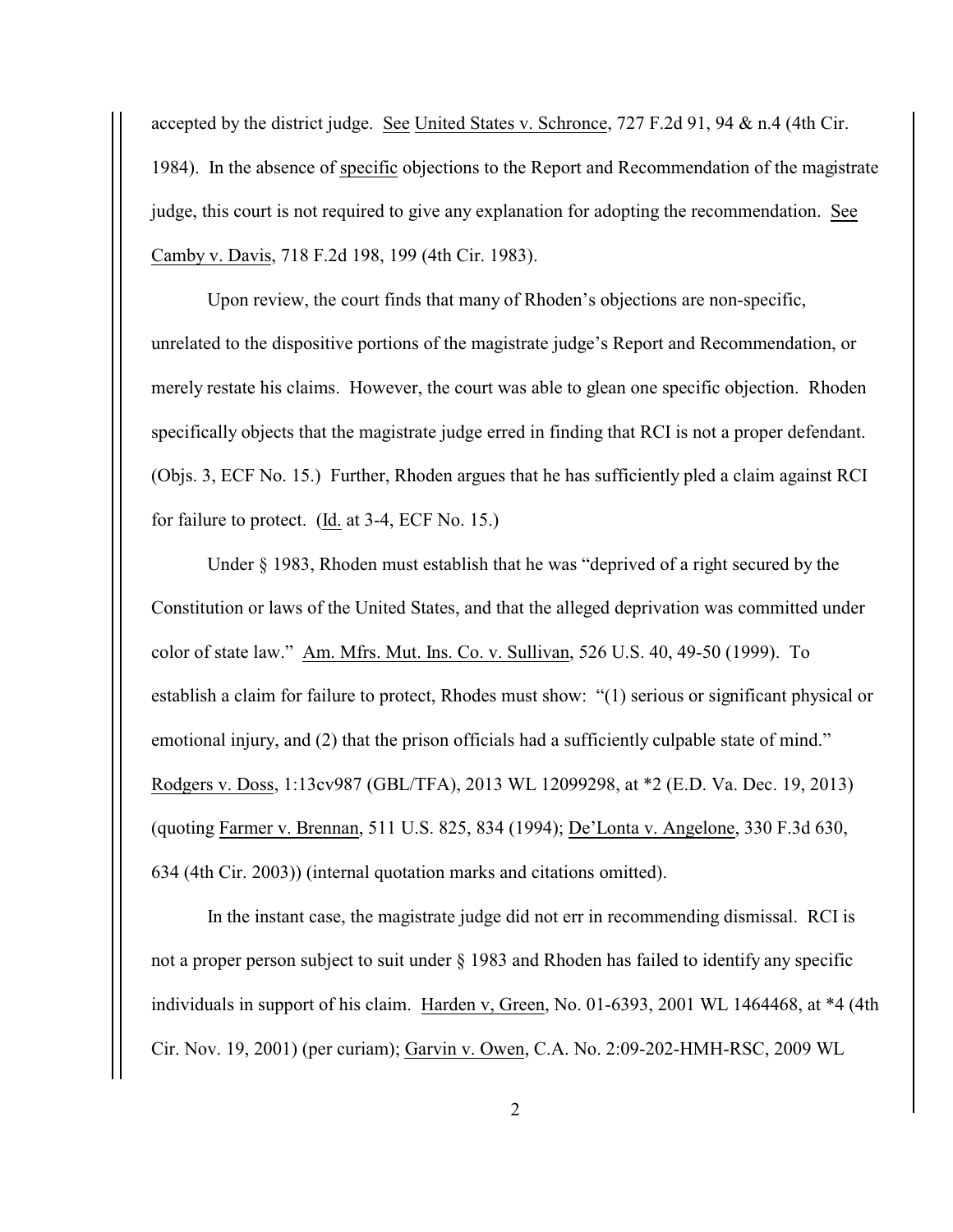accepted by the district judge. See United States v. Schronce, 727 F.2d 91, 94 & n.4 (4th Cir. 1984). In the absence of specific objections to the Report and Recommendation of the magistrate judge, this court is not required to give any explanation for adopting the recommendation. See Camby v. Davis, 718 F.2d 198, 199 (4th Cir. 1983).

Upon review, the court finds that many of Rhoden's objections are non-specific, unrelated to the dispositive portions of the magistrate judge's Report and Recommendation, or merely restate his claims. However, the court was able to glean one specific objection. Rhoden specifically objects that the magistrate judge erred in finding that RCI is not a proper defendant. (Objs. 3, ECF No. 15.) Further, Rhoden argues that he has sufficiently pled a claim against RCI for failure to protect. (Id. at 3-4, ECF No. 15.)

Under § 1983, Rhoden must establish that he was "deprived of a right secured by the Constitution or laws of the United States, and that the alleged deprivation was committed under color of state law." Am. Mfrs. Mut. Ins. Co. v. Sullivan, 526 U.S. 40, 49-50 (1999). To establish a claim for failure to protect, Rhodes must show: "(1) serious or significant physical or emotional injury, and (2) that the prison officials had a sufficiently culpable state of mind." Rodgers v. Doss, 1:13cv987 (GBL/TFA), 2013 WL 12099298, at \*2 (E.D. Va. Dec. 19, 2013) (quoting Farmer v. Brennan, 511 U.S. 825, 834 (1994); De'Lonta v. Angelone, 330 F.3d 630, 634 (4th Cir. 2003)) (internal quotation marks and citations omitted).

In the instant case, the magistrate judge did not err in recommending dismissal. RCI is not a proper person subject to suit under § 1983 and Rhoden has failed to identify any specific individuals in support of his claim. Harden v, Green, No. 01-6393, 2001 WL 1464468, at \*4 (4th Cir. Nov. 19, 2001) (per curiam); Garvin v. Owen, C.A. No. 2:09-202-HMH-RSC, 2009 WL